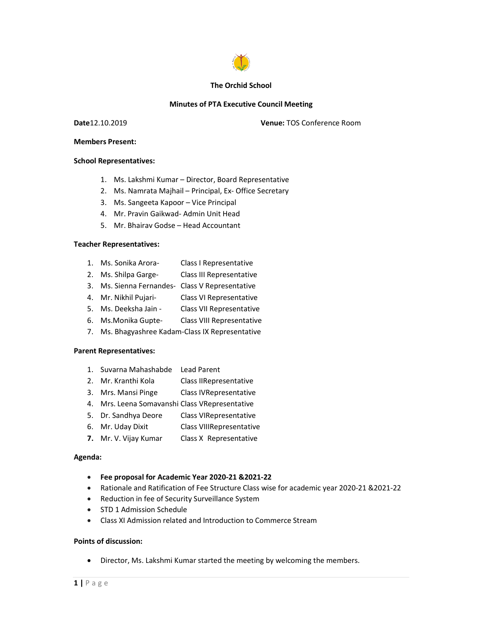

### The Orchid School

## Minutes of PTA Executive Council Meeting

Venue: TOS Conference Room

#### School Representatives:

- The Orchid School<br>
Minutes of PTA Executive Council Meeting<br>
Date12.10.2019 Venue: TOS Conference Room<br>
Members Present:<br>
School Representatives:<br>
1. Ms. Lakshmi Kumar Director. Board Representative 1. Ms. Lakshmi Kumar – Director, Board Representative
	- 2. Ms. Namrata Majhail Principal, Ex- Office Secretary Vice Principal
	- 3. Ms. Sangeeta Kapoor –
	- 4. Mr. Pravin Gaikwad- Admin Unit Head
	- 5. Mr. Bhairav Godse Head Accountant

### Teacher Representatives:

- 1. Ms. Sonika Arora- Class I Representative
- 2. Ms. Shilpa Garge- Class III Representative
- 3. Ms. Sienna Fernandes- Class V Representative Head Accountant<br>Class I Representative<br>Class III Representative<br>Class V Representative
- 4. Mr. Nikhil Pujari- Class VI Representative
- 5. Ms. Deeksha Jain Class VII Representative
- 6. Ms.Monika Gupte- Class VIII Representative
- 7. Ms. Bhagyashree Kadam-Class IX Representative

#### Parent Representatives:

- 1. Suvarna Mahashabde Lead Parent
- 2. Mr. Kranthi Kola Class II Representative Class IX Representative<br>ead Parent<br>lass IIRepresentative
- 3. Mrs. Mansi Pinge Class IV Representative
- 4. Mrs. Leena Somavanshi Class VRepresentative
- 5. Dr. Sandhya Deore Class VIRepresentative
- 6. Mr. Uday Dixit Class VIIIRepresentative
- 7. Mr. V. Vijay Kumar Class X Representative

## Agenda:

- Fee proposal for Academic Year 20 2020-21 &2021-22
- 3. Mrs. Mansi Pinge Class IVRepresentative<br>
4. Mrs. Leena Somavanshi Class VRepresentative<br>
5. Dr. Sandhya Deore Class VIRepresentative<br>
6. Mr. Uday Dixit Class VIIRepresentative<br>
7. Mr. V. Vijay Kumar Class XIRepresentat • Rationale and Ratification of Fee Structure Class wise for academic year 2020-21 & 2021-22
	- Reduction in fee of Security Surveillance System
	- STD 1 Admission Schedule
	- Class XI Admission related and Introduction to Commerce Stream

## Points of discussion:

• Director, Ms. Lakshmi Kumar started the meeting by welcoming the members.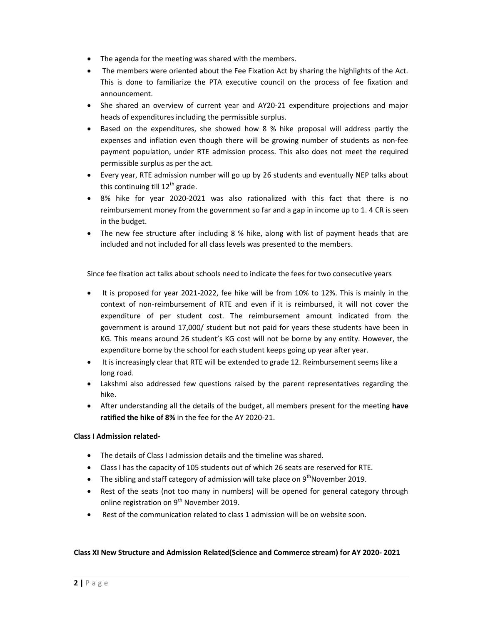- The agenda for the meeting was shared with the members.
- The members were oriented about the Fee Fixation Act by sharing the highlights of the Act. This is done to familiarize the PTA executive council on the process of fee fixation and announcement.
- She shared an overview of current year and AY20-21 expenditure projections and major heads of expenditures including the permissible surplus.
- Based on the expenditures, she showed how 8 % hike proposal will address partly the expenses and inflation even though there will be growing number of students as non-fee payment population, under RTE admission process. This also does not meet the required permissible surplus as per the act.
- Every year, RTE admission number will go up by 26 students and eventually NEP talks about this continuing till  $12<sup>th</sup>$  grade.
- 8% hike for year 2020-2021 was also rationalized with this fact that there is no reimbursement money from the government so far and a gap in income up to 1. 4 CR is seen in the budget.
- The new fee structure after including 8 % hike, along with list of payment heads that are included and not included for all class levels was presented to the members.

Since fee fixation act talks about schools need to indicate the fees for two consecutive years

- It is proposed for year 2021-2022, fee hike will be from 10% to 12%. This is mainly in the context of non-reimbursement of RTE and even if it is reimbursed, it will not cover the expenditure of per student cost. The reimbursement amount indicated from the government is around 17,000/ student but not paid for years these students have been in KG. This means around 26 student's KG cost will not be borne by any entity. However, the expenditure borne by the school for each student keeps going up year after year.
- It is increasingly clear that RTE will be extended to grade 12. Reimbursement seems like a long road.
- Lakshmi also addressed few questions raised by the parent representatives regarding the hike.
- After understanding all the details of the budget, all members present for the meeting have ratified the hike of 8% in the fee for the AY 2020-21.

# Class I Admission related-

- The details of Class I admission details and the timeline was shared.
- Class I has the capacity of 105 students out of which 26 seats are reserved for RTE.
- The sibling and staff category of admission will take place on  $9<sup>th</sup>$  November 2019.
- Rest of the seats (not too many in numbers) will be opened for general category through online registration on 9<sup>th</sup> November 2019.
- Rest of the communication related to class 1 admission will be on website soon.

# Class XI New Structure and Admission Related(Science and Commerce stream) for AY 2020- 2021